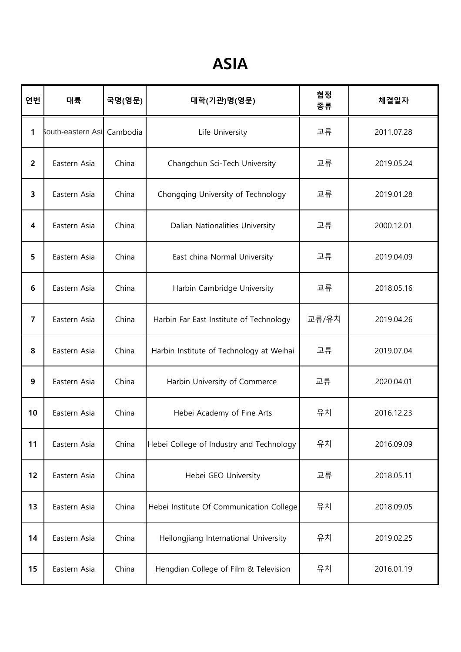## ASIA

| 연번                      | 대륙                | 국명(영문)   | 대학(기관)명(영문)                              | 협정<br>종류 | 체결일자       |
|-------------------------|-------------------|----------|------------------------------------------|----------|------------|
| 1                       | South-eastern Asi | Cambodia | Life University                          | 교류       | 2011.07.28 |
| $\overline{2}$          | Eastern Asia      | China    | Changchun Sci-Tech University            | 교류       | 2019.05.24 |
| 3                       | Eastern Asia      | China    | Chongqing University of Technology       | 교류       | 2019.01.28 |
| $\overline{\mathbf{4}}$ | Eastern Asia      | China    | Dalian Nationalities University          | 교류       | 2000.12.01 |
| 5                       | Eastern Asia      | China    | East china Normal University             | 교류       | 2019.04.09 |
| 6                       | Eastern Asia      | China    | Harbin Cambridge University              | 교류       | 2018.05.16 |
| $\overline{7}$          | Eastern Asia      | China    | Harbin Far East Institute of Technology  | 교류/유치    | 2019.04.26 |
| 8                       | Eastern Asia      | China    | Harbin Institute of Technology at Weihai | 교류       | 2019.07.04 |
| 9                       | Eastern Asia      | China    | Harbin University of Commerce            | 교류       | 2020.04.01 |
| 10                      | Eastern Asia      | China    | Hebei Academy of Fine Arts               | 유치       | 2016.12.23 |
| 11                      | Eastern Asia      | China    | Hebei College of Industry and Technology | 유치       | 2016.09.09 |
| 12                      | Eastern Asia      | China    | Hebei GEO University                     | 교류       | 2018.05.11 |
| 13                      | Eastern Asia      | China    | Hebei Institute Of Communication College | 유치       | 2018.09.05 |
| 14                      | Eastern Asia      | China    | Heilongjiang International University    | 유치       | 2019.02.25 |
| 15                      | Eastern Asia      | China    | Hengdian College of Film & Television    | 유치       | 2016.01.19 |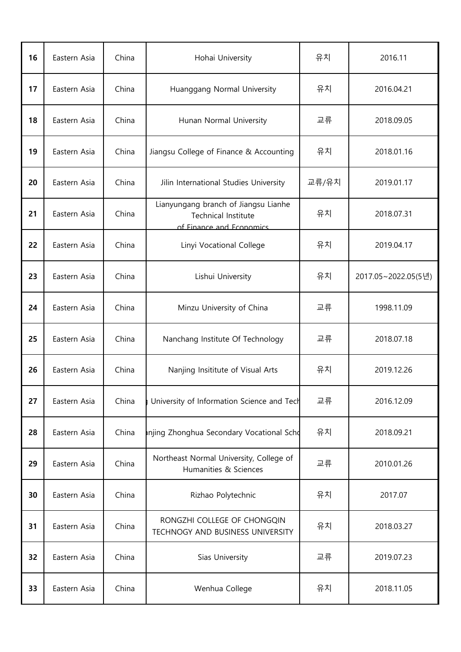| 16 | Eastern Asia | China | Hohai University                                                                        | 유치    | 2016.11             |
|----|--------------|-------|-----------------------------------------------------------------------------------------|-------|---------------------|
| 17 | Eastern Asia | China | Huanggang Normal University                                                             | 유치    | 2016.04.21          |
| 18 | Eastern Asia | China | Hunan Normal University                                                                 | 교류    | 2018.09.05          |
| 19 | Eastern Asia | China | Jiangsu College of Finance & Accounting                                                 | 유치    | 2018.01.16          |
| 20 | Eastern Asia | China | Jilin International Studies University                                                  | 교류/유치 | 2019.01.17          |
| 21 | Eastern Asia | China | Lianyungang branch of Jiangsu Lianhe<br>Technical Institute<br>of Finance and Fconomics | 유치    | 2018.07.31          |
| 22 | Eastern Asia | China | Linyi Vocational College                                                                | 유치    | 2019.04.17          |
| 23 | Eastern Asia | China | Lishui University                                                                       | 유치    | 2017.05~2022.05(5년) |
| 24 | Eastern Asia | China | Minzu University of China                                                               | 교류    | 1998.11.09          |
| 25 | Eastern Asia | China | Nanchang Institute Of Technology                                                        | 교류    | 2018.07.18          |
| 26 | Eastern Asia | China | Nanjing Insititute of Visual Arts                                                       | 유치    | 2019.12.26          |
| 27 | Eastern Asia | China | University of Information Science and Tech                                              | 교류    | 2016.12.09          |
| 28 | Eastern Asia | China | anjing Zhonghua Secondary Vocational Scho                                               | 유치    | 2018.09.21          |
| 29 | Eastern Asia | China | Northeast Normal University, College of<br>Humanities & Sciences                        | 교류    | 2010.01.26          |
| 30 | Eastern Asia | China | Rizhao Polytechnic                                                                      | 유치    | 2017.07             |
| 31 | Eastern Asia | China | RONGZHI COLLEGE OF CHONGQIN<br>TECHNOGY AND BUSINESS UNIVERSITY                         | 유치    | 2018.03.27          |
| 32 | Eastern Asia | China | Sias University                                                                         | 교류    | 2019.07.23          |
| 33 | Eastern Asia | China | Wenhua College                                                                          | 유치    | 2018.11.05          |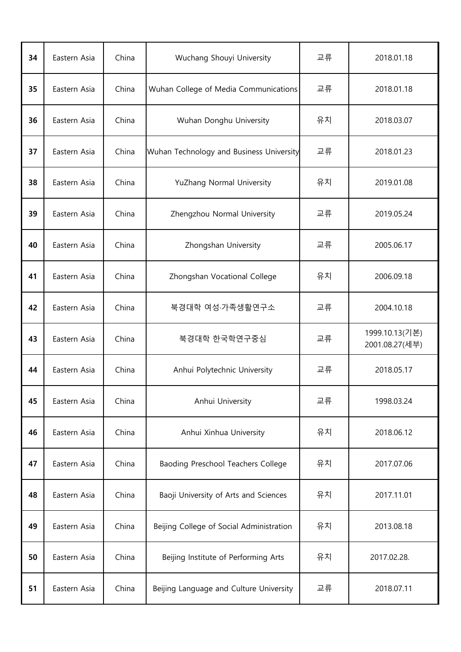| 34 | Eastern Asia | China | Wuchang Shouyi University                | 교류 | 2018.01.18                       |
|----|--------------|-------|------------------------------------------|----|----------------------------------|
| 35 | Eastern Asia | China | Wuhan College of Media Communications    | 교류 | 2018.01.18                       |
| 36 | Eastern Asia | China | Wuhan Donghu University                  | 유치 | 2018.03.07                       |
| 37 | Eastern Asia | China | Wuhan Technology and Business University | 교류 | 2018.01.23                       |
| 38 | Eastern Asia | China | YuZhang Normal University                | 유치 | 2019.01.08                       |
| 39 | Eastern Asia | China | Zhengzhou Normal University              | 교류 | 2019.05.24                       |
| 40 | Eastern Asia | China | Zhongshan University                     | 교류 | 2005.06.17                       |
| 41 | Eastern Asia | China | Zhongshan Vocational College             | 유치 | 2006.09.18                       |
| 42 | Eastern Asia | China | 북경대학 여성·가족생활연구소                          | 교류 | 2004.10.18                       |
| 43 | Eastern Asia | China | 북경대학 한국학연구중심                             | 교류 | 1999.10.13(기본)<br>2001.08.27(세부) |
| 44 | Eastern Asia | China | Anhui Polytechnic University             | 교류 | 2018.05.17                       |
| 45 | Eastern Asia | China | Anhui University                         | 교류 | 1998.03.24                       |
| 46 | Eastern Asia | China | Anhui Xinhua University                  | 유치 | 2018.06.12                       |
| 47 | Eastern Asia | China | Baoding Preschool Teachers College       | 유치 | 2017.07.06                       |
| 48 | Eastern Asia | China | Baoji University of Arts and Sciences    | 유치 | 2017.11.01                       |
| 49 |              |       | Beijing College of Social Administration | 유치 | 2013.08.18                       |
|    | Eastern Asia | China |                                          |    |                                  |
| 50 | Eastern Asia | China | Beijing Institute of Performing Arts     | 유치 | 2017.02.28.                      |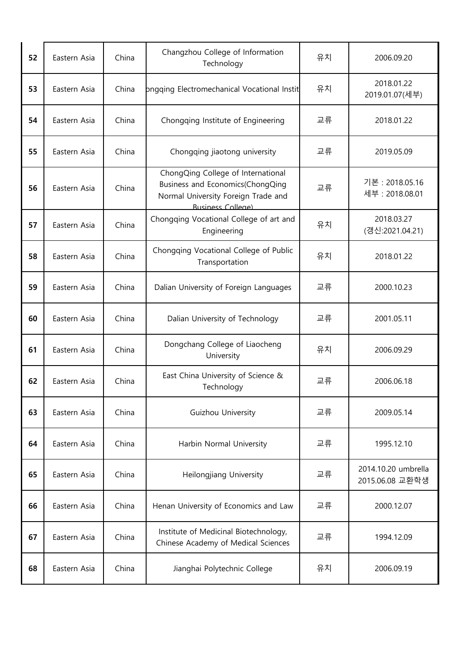| 52 | Eastern Asia | China | Changzhou College of Information<br>Technology                                                                                            | 유치 | 2006.09.20                             |
|----|--------------|-------|-------------------------------------------------------------------------------------------------------------------------------------------|----|----------------------------------------|
| 53 | Eastern Asia | China | ongging Electromechanical Vocational Instit                                                                                               | 유치 | 2018.01.22<br>2019.01.07(세부)           |
| 54 | Eastern Asia | China | Chongqing Institute of Engineering                                                                                                        | 교류 | 2018.01.22                             |
| 55 | Eastern Asia | China | Chongqing jiaotong university                                                                                                             | 교류 | 2019.05.09                             |
| 56 | Eastern Asia | China | ChongQing College of International<br>Business and Economics(ChongQing<br>Normal University Foreign Trade and<br><b>Business College)</b> | 교류 | 기본 : 2018.05.16<br>세부 : 2018.08.01     |
| 57 | Eastern Asia | China | Chongqing Vocational College of art and<br>Engineering                                                                                    | 유치 | 2018.03.27<br>(갱신:2021.04.21)          |
| 58 | Eastern Asia | China | Chongqing Vocational College of Public<br>Transportation                                                                                  | 유치 | 2018.01.22                             |
| 59 | Eastern Asia | China | Dalian University of Foreign Languages                                                                                                    | 교류 | 2000.10.23                             |
| 60 | Eastern Asia | China | Dalian University of Technology                                                                                                           | 교류 | 2001.05.11                             |
| 61 | Eastern Asia | China | Dongchang College of Liaocheng<br>University                                                                                              | 유치 | 2006.09.29                             |
| 62 | Eastern Asia | China | East China University of Science &<br>Technology                                                                                          | 교류 | 2006.06.18                             |
| 63 | Eastern Asia | China | Guizhou University                                                                                                                        | 교류 | 2009.05.14                             |
| 64 | Eastern Asia | China | Harbin Normal University                                                                                                                  | 교류 | 1995.12.10                             |
| 65 | Eastern Asia | China | Heilongjiang University                                                                                                                   | 교류 | 2014.10.20 umbrella<br>2015.06.08 교환학생 |
| 66 | Eastern Asia | China | Henan University of Economics and Law                                                                                                     | 교류 | 2000.12.07                             |
| 67 | Eastern Asia | China | Institute of Medicinal Biotechnology,<br>Chinese Academy of Medical Sciences                                                              | 교류 | 1994.12.09                             |
| 68 | Eastern Asia | China | Jianghai Polytechnic College                                                                                                              | 유치 | 2006.09.19                             |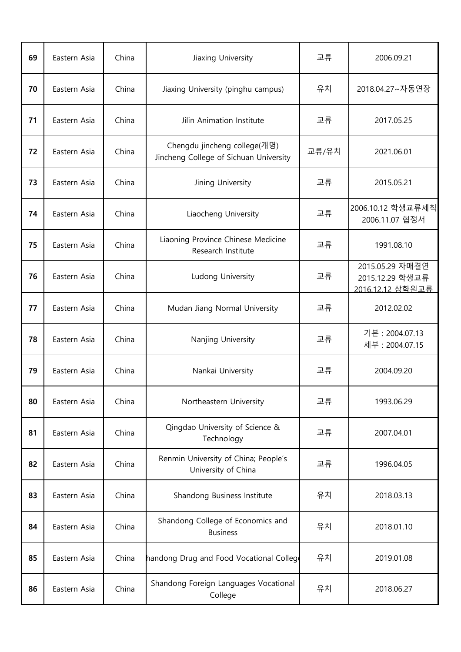| 69 | Eastern Asia | China | Jiaxing University                                                     | 교류    | 2006.09.21                                             |
|----|--------------|-------|------------------------------------------------------------------------|-------|--------------------------------------------------------|
| 70 | Eastern Asia | China | Jiaxing University (pinghu campus)                                     | 유치    | 2018.04.27~자동연장                                        |
| 71 | Eastern Asia | China | Jilin Animation Institute                                              | 교류    | 2017.05.25                                             |
| 72 | Eastern Asia | China | Chengdu jincheng college(개명)<br>Jincheng College of Sichuan University | 교류/유치 | 2021.06.01                                             |
| 73 | Eastern Asia | China | Jining University                                                      | 교류    | 2015.05.21                                             |
| 74 | Eastern Asia | China | Liaocheng University                                                   | 교류    | 2006.10.12 학생교류세칙<br>2006.11.07 협정서                    |
| 75 | Eastern Asia | China | Liaoning Province Chinese Medicine<br>Research Institute               | 교류    | 1991.08.10                                             |
| 76 | Eastern Asia | China | Ludong University                                                      | 교류    | 2015.05.29 자매결연<br>2015.12.29 학생교류<br>2016.12.12 상학원교류 |
| 77 | Eastern Asia | China | Mudan Jiang Normal University                                          | 교류    | 2012.02.02                                             |
| 78 | Eastern Asia | China | Nanjing University                                                     | 교류    | 기본 : 2004.07.13<br>세부: 2004.07.15                      |
| 79 | Eastern Asia | China | Nankai University                                                      | 교류    | 2004.09.20                                             |
| 80 | Eastern Asia | China | Northeastern University                                                | 교류    | 1993.06.29                                             |
| 81 | Eastern Asia | China | Qingdao University of Science &<br>Technology                          | 교류    | 2007.04.01                                             |
| 82 | Eastern Asia | China | Renmin University of China; People's<br>University of China            | 교류    | 1996.04.05                                             |
| 83 | Eastern Asia | China | Shandong Business Institute                                            | 유치    | 2018.03.13                                             |
| 84 | Eastern Asia | China | Shandong College of Economics and<br><b>Business</b>                   | 유치    | 2018.01.10                                             |
| 85 | Eastern Asia | China | handong Drug and Food Vocational College                               | 유치    | 2019.01.08                                             |
| 86 | Eastern Asia | China | Shandong Foreign Languages Vocational<br>College                       | 유치    | 2018.06.27                                             |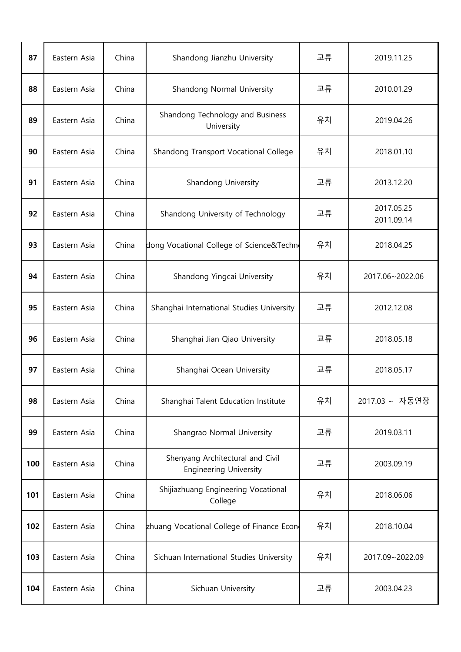| 87  | Eastern Asia | China | Shandong Jianzhu University                                       | 교류 | 2019.11.25               |
|-----|--------------|-------|-------------------------------------------------------------------|----|--------------------------|
| 88  | Eastern Asia | China | Shandong Normal University                                        | 교류 | 2010.01.29               |
| 89  | Eastern Asia | China | Shandong Technology and Business<br>University                    | 유치 | 2019.04.26               |
| 90  | Eastern Asia | China | Shandong Transport Vocational College                             | 유치 | 2018.01.10               |
| 91  | Eastern Asia | China | Shandong University                                               | 교류 | 2013.12.20               |
| 92  | Eastern Asia | China | Shandong University of Technology                                 | 교류 | 2017.05.25<br>2011.09.14 |
| 93  | Eastern Asia | China | dong Vocational College of Science&Techn                          | 유치 | 2018.04.25               |
| 94  | Eastern Asia | China | Shandong Yingcai University                                       | 유치 | 2017.06~2022.06          |
| 95  | Eastern Asia | China | Shanghai International Studies University                         | 교류 | 2012.12.08               |
| 96  | Eastern Asia | China | Shanghai Jian Qiao University                                     | 교류 | 2018.05.18               |
| 97  | Eastern Asia | China | Shanghai Ocean University                                         | 교류 | 2018.05.17               |
| 98  | Eastern Asia | China | Shanghai Talent Education Institute                               | 유치 | 2017.03 ~ 자동연장           |
| 99  | Eastern Asia | China | Shangrao Normal University                                        | 교류 | 2019.03.11               |
| 100 | Eastern Asia | China | Shenyang Architectural and Civil<br><b>Engineering University</b> | 교류 | 2003.09.19               |
| 101 | Eastern Asia | China | Shijiazhuang Engineering Vocational<br>College                    | 유치 | 2018.06.06               |
| 102 | Eastern Asia | China | zhuang Vocational College of Finance Econ                         | 유치 | 2018.10.04               |
| 103 | Eastern Asia | China | Sichuan International Studies University                          | 유치 | 2017.09~2022.09          |
| 104 | Eastern Asia | China | Sichuan University                                                | 교류 | 2003.04.23               |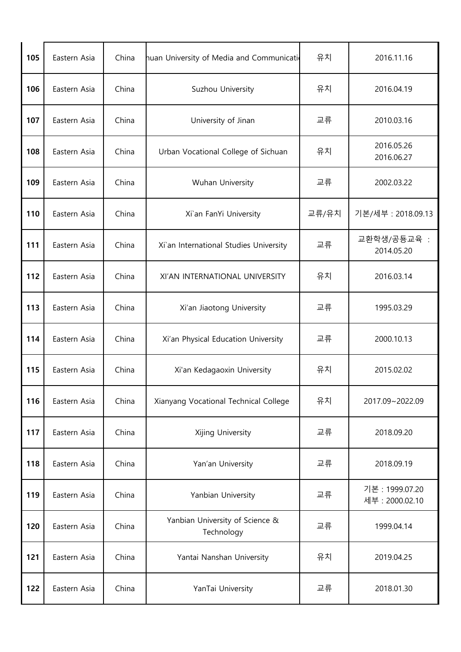| 105 | Eastern Asia | China | huan University of Media and Communication    | 유치    | 2016.11.16                         |
|-----|--------------|-------|-----------------------------------------------|-------|------------------------------------|
| 106 | Eastern Asia | China | Suzhou University                             | 유치    | 2016.04.19                         |
| 107 | Eastern Asia | China | University of Jinan                           | 교류    | 2010.03.16                         |
| 108 | Eastern Asia | China | Urban Vocational College of Sichuan           | 유치    | 2016.05.26<br>2016.06.27           |
| 109 | Eastern Asia | China | Wuhan University                              | 교류    | 2002.03.22                         |
| 110 | Eastern Asia | China | Xi'an FanYi University                        | 교류/유치 | 기본/세부 : 2018.09.13                 |
| 111 | Eastern Asia | China | Xi'an International Studies University        | 교류    | 교환학생/공둉교육 :<br>2014.05.20          |
| 112 | Eastern Asia | China | XI'AN INTERNATIONAL UNIVERSITY                | 유치    | 2016.03.14                         |
| 113 | Eastern Asia | China | Xi'an Jiaotong University                     | 교류    | 1995.03.29                         |
| 114 | Eastern Asia | China | Xi'an Physical Education University           | 교류    | 2000.10.13                         |
| 115 | Eastern Asia | China | Xi'an Kedagaoxin University                   | 유치    | 2015.02.02                         |
| 116 | Eastern Asia | China | Xianyang Vocational Technical College         | 유치    | 2017.09~2022.09                    |
| 117 | Eastern Asia | China | Xijing University                             | 교류    | 2018.09.20                         |
| 118 | Eastern Asia | China | Yan'an University                             | 교류    | 2018.09.19                         |
| 119 | Eastern Asia | China | Yanbian University                            | 교류    | 기본 : 1999.07.20<br>세부 : 2000.02.10 |
| 120 | Eastern Asia | China | Yanbian University of Science &<br>Technology | 교류    | 1999.04.14                         |
| 121 | Eastern Asia | China | Yantai Nanshan University                     | 유치    | 2019.04.25                         |
| 122 | Eastern Asia | China | YanTai University                             | 교류    | 2018.01.30                         |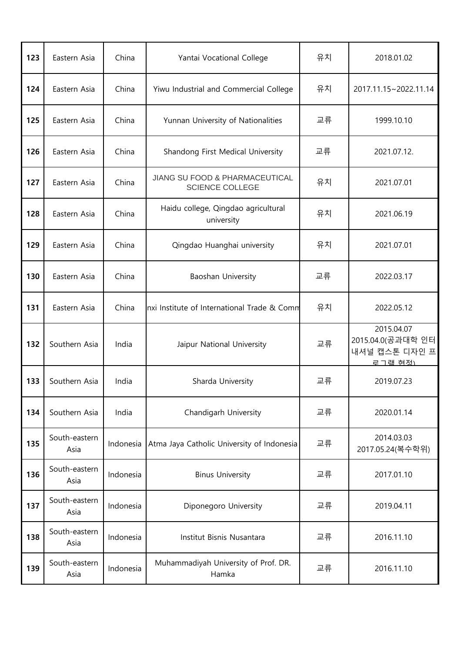| 123 | Eastern Asia          | China     | Yantai Vocational College                                | 유치 | 2018.01.02                                                           |
|-----|-----------------------|-----------|----------------------------------------------------------|----|----------------------------------------------------------------------|
| 124 | Eastern Asia          | China     | Yiwu Industrial and Commercial College                   | 유치 | 2017.11.15~2022.11.14                                                |
| 125 | Eastern Asia          | China     | Yunnan University of Nationalities                       | 교류 | 1999.10.10                                                           |
| 126 | Eastern Asia          | China     | Shandong First Medical University                        | 교류 | 2021.07.12.                                                          |
| 127 | Eastern Asia          | China     | JIANG SU FOOD & PHARMACEUTICAL<br><b>SCIENCE COLLEGE</b> | 유치 | 2021.07.01                                                           |
| 128 | Eastern Asia          | China     | Haidu college, Qingdao agricultural<br>university        | 유치 | 2021.06.19                                                           |
| 129 | Eastern Asia          | China     | Qingdao Huanghai university                              | 유치 | 2021.07.01                                                           |
| 130 | Eastern Asia          | China     | Baoshan University                                       | 교류 | 2022.03.17                                                           |
| 131 | Eastern Asia          | China     | nxi Institute of International Trade & Comm              | 유치 | 2022.05.12                                                           |
| 132 | Southern Asia         | India     | Jaipur National University                               | 교류 | 2015.04.07<br>2015.04.0 (공과대학 인터<br>내셔널 캡스톤 디자인 프<br><u> 로그램 현정)</u> |
| 133 | Southern Asia         | India     | Sharda University                                        | 교류 | 2019.07.23                                                           |
| 134 | Southern Asia         | India     | Chandigarh University                                    | 교류 | 2020.01.14                                                           |
| 135 | South-eastern<br>Asia | Indonesia | Atma Jaya Catholic University of Indonesia               | 교류 | 2014.03.03<br>2017.05.24(복수학위)                                       |
| 136 | South-eastern<br>Asia | Indonesia | <b>Binus University</b>                                  | 교류 | 2017.01.10                                                           |
| 137 | South-eastern<br>Asia | Indonesia | Diponegoro University                                    | 교류 | 2019.04.11                                                           |
| 138 | South-eastern<br>Asia | Indonesia | Institut Bisnis Nusantara                                | 교류 | 2016.11.10                                                           |
| 139 | South-eastern<br>Asia | Indonesia | Muhammadiyah University of Prof. DR.<br>Hamka            | 교류 | 2016.11.10                                                           |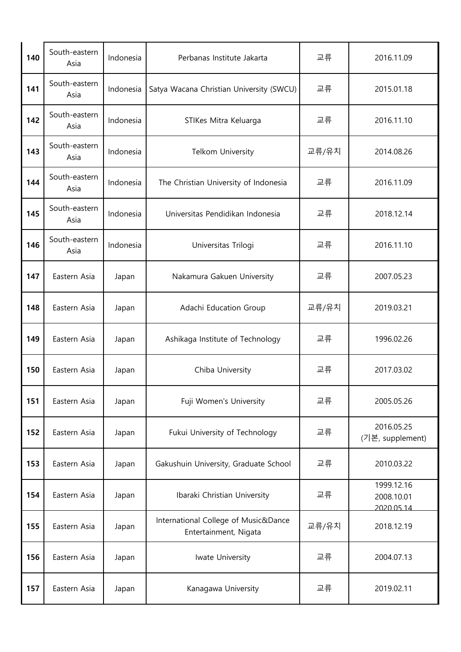| 140 | South-eastern<br>Asia | Indonesia | Perbanas Institute Jakarta                                    | 교류    | 2016.11.09                             |
|-----|-----------------------|-----------|---------------------------------------------------------------|-------|----------------------------------------|
| 141 | South-eastern<br>Asia | Indonesia | Satya Wacana Christian University (SWCU)                      | 교류    | 2015.01.18                             |
| 142 | South-eastern<br>Asia | Indonesia | STIKes Mitra Keluarga                                         | 교류    | 2016.11.10                             |
| 143 | South-eastern<br>Asia | Indonesia | Telkom University                                             | 교류/유치 | 2014.08.26                             |
| 144 | South-eastern<br>Asia | Indonesia | The Christian University of Indonesia                         | 교류    | 2016.11.09                             |
| 145 | South-eastern<br>Asia | Indonesia | Universitas Pendidikan Indonesia                              | 교류    | 2018.12.14                             |
| 146 | South-eastern<br>Asia | Indonesia | Universitas Trilogi                                           | 교류    | 2016.11.10                             |
| 147 | Eastern Asia          | Japan     | Nakamura Gakuen University                                    | 교류    | 2007.05.23                             |
| 148 | Eastern Asia          | Japan     | Adachi Education Group                                        | 교류/유치 | 2019.03.21                             |
| 149 | Eastern Asia          | Japan     | Ashikaga Institute of Technology                              | 교류    | 1996.02.26                             |
| 150 | Eastern Asia          | Japan     | Chiba University                                              | 교류    | 2017.03.02                             |
| 151 | Eastern Asia          | Japan     | Fuji Women's University                                       | 교류    | 2005.05.26                             |
| 152 | Eastern Asia          | Japan     | Fukui University of Technology                                | 교류    | 2016.05.25<br>(기본, supplement)         |
| 153 | Eastern Asia          | Japan     | Gakushuin University, Graduate School                         | 교류    | 2010.03.22                             |
| 154 | Eastern Asia          | Japan     | Ibaraki Christian University                                  | 교류    | 1999.12.16<br>2008.10.01<br>2020 05 14 |
| 155 | Eastern Asia          | Japan     | International College of Music&Dance<br>Entertainment, Nigata | 교류/유치 | 2018.12.19                             |
| 156 | Eastern Asia          | Japan     | Iwate University                                              | 교류    | 2004.07.13                             |
| 157 | Eastern Asia          | Japan     | Kanagawa University                                           | 교류    | 2019.02.11                             |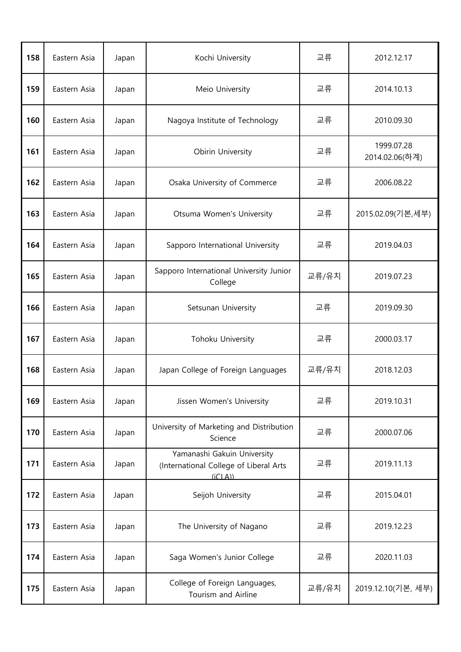| 158 | Eastern Asia | Japan | Kochi University                                                                | 교류    | 2012.12.17                   |
|-----|--------------|-------|---------------------------------------------------------------------------------|-------|------------------------------|
| 159 | Eastern Asia | Japan | Meio University                                                                 | 교류    | 2014.10.13                   |
| 160 | Eastern Asia | Japan | Nagoya Institute of Technology                                                  | 교류    | 2010.09.30                   |
| 161 | Eastern Asia | Japan | Obirin University                                                               | 교류    | 1999.07.28<br>2014.02.06(하계) |
| 162 | Eastern Asia | Japan | Osaka University of Commerce                                                    | 교류    | 2006.08.22                   |
| 163 | Eastern Asia | Japan | Otsuma Women's University                                                       | 교류    | 2015.02.09(기본,세부)            |
| 164 | Eastern Asia | Japan | Sapporo International University                                                | 교류    | 2019.04.03                   |
| 165 | Eastern Asia | Japan | Sapporo International University Junior<br>College                              | 교류/유치 | 2019.07.23                   |
| 166 | Eastern Asia | Japan | Setsunan University                                                             | 교류    | 2019.09.30                   |
| 167 | Eastern Asia | Japan | Tohoku University                                                               | 교류    | 2000.03.17                   |
| 168 | Eastern Asia | Japan | Japan College of Foreign Languages                                              | 교류/유치 | 2018.12.03                   |
| 169 | Eastern Asia | Japan | Jissen Women's University                                                       | 교류    | 2019.10.31                   |
| 170 | Eastern Asia | Japan | University of Marketing and Distribution<br>Science                             | 교류    | 2000.07.06                   |
| 171 | Eastern Asia | Japan | Yamanashi Gakuin University<br>(International College of Liberal Arts<br>(iCLA) | 교류    | 2019.11.13                   |
| 172 | Eastern Asia | Japan | Seijoh University                                                               | 교류    | 2015.04.01                   |
| 173 | Eastern Asia | Japan | The University of Nagano                                                        | 교류    | 2019.12.23                   |
| 174 | Eastern Asia | Japan | Saga Women's Junior College                                                     | 교류    | 2020.11.03                   |
| 175 | Eastern Asia | Japan | College of Foreign Languages,<br>Tourism and Airline                            | 교류/유치 | 2019.12.10(기본, 세부)           |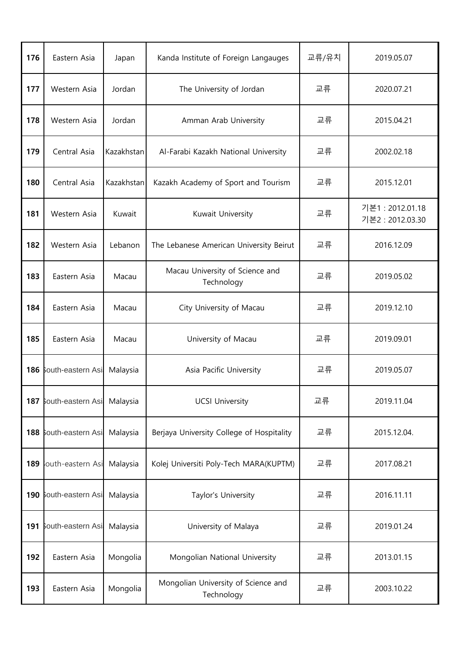| 176 | Eastern Asia      | Japan      | Kanda Institute of Foreign Langauges              | 교류/유치 | 2019.05.07                       |
|-----|-------------------|------------|---------------------------------------------------|-------|----------------------------------|
| 177 | Western Asia      | Jordan     | The University of Jordan                          | 교류    | 2020.07.21                       |
| 178 | Western Asia      | Jordan     | Amman Arab University                             | 교류    | 2015.04.21                       |
| 179 | Central Asia      | Kazakhstan | Al-Farabi Kazakh National University              | 교류    | 2002.02.18                       |
| 180 | Central Asia      | Kazakhstan | Kazakh Academy of Sport and Tourism               | 교류    | 2015.12.01                       |
| 181 | Western Asia      | Kuwait     | Kuwait University                                 | 교류    | 기본1:2012.01.18<br>기본2:2012.03.30 |
| 182 | Western Asia      | Lebanon    | The Lebanese American University Beirut           | 교류    | 2016.12.09                       |
| 183 | Eastern Asia      | Macau      | Macau University of Science and<br>Technology     | 교류    | 2019.05.02                       |
| 184 | Eastern Asia      | Macau      | City University of Macau                          | 교류    | 2019.12.10                       |
| 185 | Eastern Asia      | Macau      | University of Macau                               | 교류    | 2019.09.01                       |
| 186 | South-eastern Asi | Malaysia   | Asia Pacific University                           | 교류    | 2019.05.07                       |
| 187 | South-eastern Asi | Malaysia   | <b>UCSI University</b>                            | 교류    | 2019.11.04                       |
| 188 | South-eastern Asi | Malaysia   | Berjaya University College of Hospitality         | 교류    | 2015.12.04.                      |
| 189 | outh-eastern Asi  | Malaysia   | Kolej Universiti Poly-Tech MARA(KUPTM)            | 교류    | 2017.08.21                       |
| 190 | South-eastern Asi | Malaysia   | Taylor's University                               | 교류    | 2016.11.11                       |
| 191 | South-eastern Asi | Malaysia   | University of Malaya                              | 교류    | 2019.01.24                       |
| 192 | Eastern Asia      | Mongolia   | Mongolian National University                     | 교류    | 2013.01.15                       |
| 193 | Eastern Asia      | Mongolia   | Mongolian University of Science and<br>Technology | 교류    | 2003.10.22                       |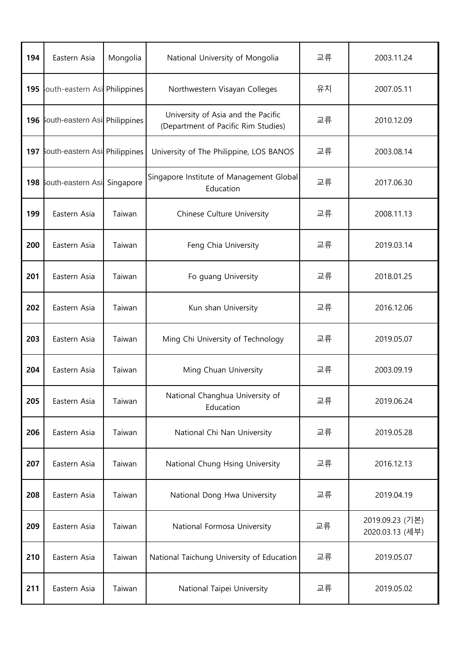| 194 | Eastern Asia                      | Mongolia | National University of Mongolia                                           | 교류 | 2003.11.24                         |
|-----|-----------------------------------|----------|---------------------------------------------------------------------------|----|------------------------------------|
| 195 | louth-eastern Asi Philippines     |          | Northwestern Visayan Colleges                                             | 유치 | 2007.05.11                         |
|     | 196 South-eastern Asi Philippines |          | University of Asia and the Pacific<br>(Department of Pacific Rim Studies) | 교류 | 2010.12.09                         |
|     | 197 South-eastern Asi Philippines |          | University of The Philippine, LOS BANOS                                   | 교류 | 2003.08.14                         |
|     | 198 South-eastern Asi Singapore   |          | Singapore Institute of Management Global<br>Education                     | 교류 | 2017.06.30                         |
| 199 | Eastern Asia                      | Taiwan   | Chinese Culture University                                                | 교류 | 2008.11.13                         |
| 200 | Eastern Asia                      | Taiwan   | Feng Chia University                                                      | 교류 | 2019.03.14                         |
| 201 | Eastern Asia                      | Taiwan   | Fo guang University                                                       | 교류 | 2018.01.25                         |
| 202 | Eastern Asia                      | Taiwan   | Kun shan University                                                       | 교류 | 2016.12.06                         |
| 203 | Eastern Asia                      | Taiwan   | Ming Chi University of Technology                                         | 교류 | 2019.05.07                         |
| 204 | Eastern Asia                      | Taiwan   | Ming Chuan University                                                     | 교류 | 2003.09.19                         |
| 205 | Eastern Asia                      | Taiwan   | National Changhua University of<br>Education                              | 교류 | 2019.06.24                         |
| 206 | Eastern Asia                      | Taiwan   | National Chi Nan University                                               | 교류 | 2019.05.28                         |
| 207 | Eastern Asia                      | Taiwan   | National Chung Hsing University                                           | 교류 | 2016.12.13                         |
| 208 | Eastern Asia                      | Taiwan   | National Dong Hwa University                                              | 교류 | 2019.04.19                         |
| 209 | Eastern Asia                      | Taiwan   | National Formosa University                                               | 교류 | 2019.09.23 (기본)<br>2020.03.13 (세부) |
| 210 | Eastern Asia                      | Taiwan   | National Taichung University of Education                                 | 교류 | 2019.05.07                         |
| 211 | Eastern Asia                      | Taiwan   | National Taipei University                                                | 교류 | 2019.05.02                         |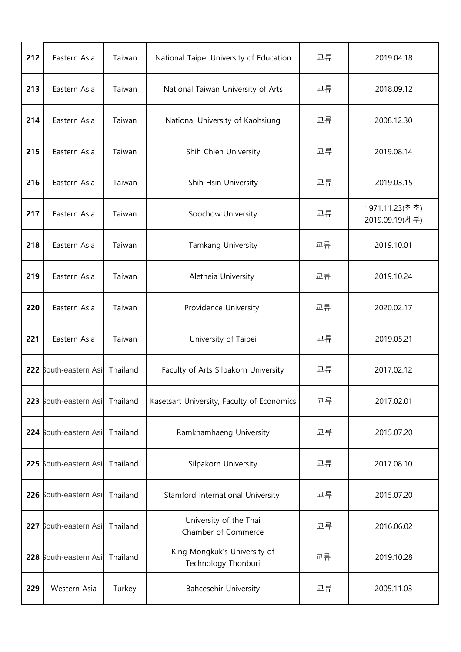| 212 | Eastern Asia          | Taiwan   | National Taipei University of Education             | 교류 | 2019.04.18                       |
|-----|-----------------------|----------|-----------------------------------------------------|----|----------------------------------|
| 213 | Eastern Asia          | Taiwan   | National Taiwan University of Arts                  | 교류 | 2018.09.12                       |
| 214 | Eastern Asia          | Taiwan   | National University of Kaohsiung                    | 교류 | 2008.12.30                       |
| 215 | Eastern Asia          | Taiwan   | Shih Chien University                               | 교류 | 2019.08.14                       |
| 216 | Eastern Asia          | Taiwan   | Shih Hsin University                                | 교류 | 2019.03.15                       |
| 217 | Eastern Asia          | Taiwan   | Soochow University                                  | 교류 | 1971.11.23(최초)<br>2019.09.19(세부) |
| 218 | Eastern Asia          | Taiwan   | Tamkang University                                  | 교류 | 2019.10.01                       |
| 219 | Eastern Asia          | Taiwan   | Aletheia University                                 | 교류 | 2019.10.24                       |
| 220 | Eastern Asia          | Taiwan   | Providence University                               | 교류 | 2020.02.17                       |
| 221 | Eastern Asia          | Taiwan   | University of Taipei                                | 교류 | 2019.05.21                       |
|     | 222 South-eastern Asi | Thailand | Faculty of Arts Silpakorn University                | 교류 | 2017.02.12                       |
|     | 223 South-eastern Asi | Thailand | Kasetsart University, Faculty of Economics          | 교류 | 2017.02.01                       |
|     | 224 South-eastern Asi | Thailand | Ramkhamhaeng University                             | 교류 | 2015.07.20                       |
|     | 225 South-eastern Asi | Thailand | Silpakorn University                                | 교류 | 2017.08.10                       |
|     | 226 South-eastern Asi | Thailand | Stamford International University                   | 교류 | 2015.07.20                       |
|     | 227 South-eastern Asi | Thailand | University of the Thai<br>Chamber of Commerce       | 교류 | 2016.06.02                       |
|     | 228 South-eastern Asi | Thailand | King Mongkuk's University of<br>Technology Thonburi | 교류 | 2019.10.28                       |
| 229 | Western Asia          | Turkey   | <b>Bahcesehir University</b>                        | 교류 | 2005.11.03                       |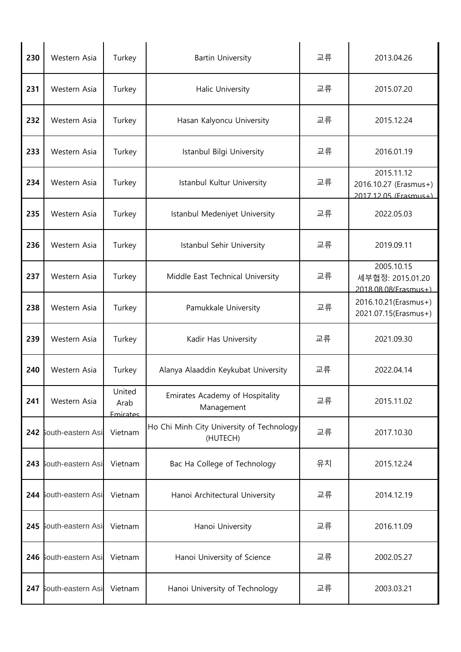| 230 | Western Asia          | Turkey                     | <b>Bartin University</b>                              | 교류 | 2013.04.26                                                   |
|-----|-----------------------|----------------------------|-------------------------------------------------------|----|--------------------------------------------------------------|
| 231 | Western Asia          | Turkey                     | Halic University                                      | 교류 | 2015.07.20                                                   |
| 232 | Western Asia          | Turkey                     | Hasan Kalyoncu University                             | 교류 | 2015.12.24                                                   |
| 233 | Western Asia          | Turkey                     | Istanbul Bilgi University                             | 교류 | 2016.01.19                                                   |
| 234 | Western Asia          | Turkey                     | Istanbul Kultur University                            | 교류 | 2015.11.12<br>2016.10.27 (Erasmus+)<br>2017 12 05 (Frasmus+) |
| 235 | Western Asia          | Turkey                     | Istanbul Medeniyet University                         | 교류 | 2022.05.03                                                   |
| 236 | Western Asia          | Turkey                     | Istanbul Sehir University                             | 교류 | 2019.09.11                                                   |
| 237 | Western Asia          | Turkey                     | Middle East Technical University                      | 교류 | 2005.10.15<br>세부협정: 2015.01.20<br>2018 08 08 (Frasmus+)      |
| 238 | Western Asia          | Turkey                     | Pamukkale University                                  | 교류 | 2016.10.21(Erasmus+)<br>2021.07.15(Erasmus+)                 |
| 239 | Western Asia          | Turkey                     | Kadir Has University                                  | 교류 | 2021.09.30                                                   |
| 240 | Western Asia          | Turkey                     | Alanya Alaaddin Keykubat University                   | 교류 | 2022.04.14                                                   |
| 241 | Western Asia          | United<br>Arab<br>Emirates | Emirates Academy of Hospitality<br>Management         | 교류 | 2015.11.02                                                   |
|     | 242 South-eastern Asi | Vietnam                    | Ho Chi Minh City University of Technology<br>(HUTECH) | 교류 | 2017.10.30                                                   |
|     | 243 South-eastern Asi | Vietnam                    | Bac Ha College of Technology                          | 유치 | 2015.12.24                                                   |
| 244 | South-eastern Asi     | Vietnam                    | Hanoi Architectural University                        | 교류 | 2014.12.19                                                   |
|     | 245 South-eastern Asi | Vietnam                    | Hanoi University                                      | 교류 | 2016.11.09                                                   |
|     | 246 South-eastern Asi | Vietnam                    | Hanoi University of Science                           | 교류 | 2002.05.27                                                   |
|     | 247 South-eastern Asi | Vietnam                    | Hanoi University of Technology                        | 교류 | 2003.03.21                                                   |